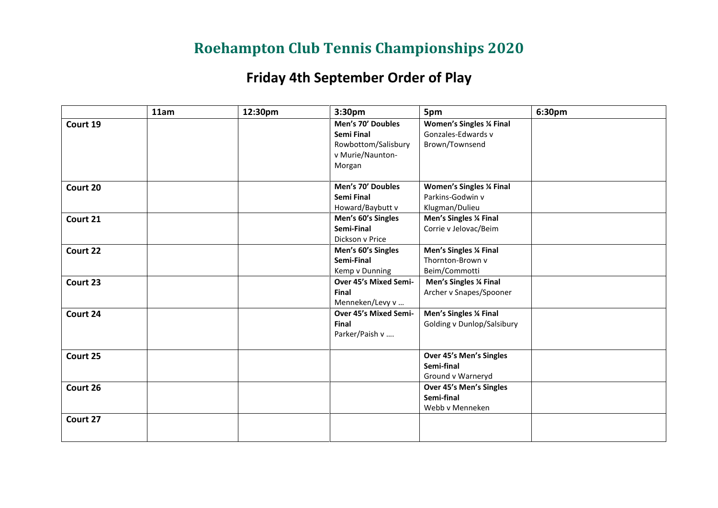## **Roehampton Club Tennis Championships 2020**

## **Friday 4th September Order of Play**

|          | 11am | 12:30pm | 3:30pm                           | 5pm                                            | 6:30pm |
|----------|------|---------|----------------------------------|------------------------------------------------|--------|
| Court 19 |      |         | Men's 70' Doubles                | <b>Women's Singles % Final</b>                 |        |
|          |      |         | Semi Final                       | Gonzales-Edwards v                             |        |
|          |      |         | Rowbottom/Salisbury              | Brown/Townsend                                 |        |
|          |      |         | v Murie/Naunton-                 |                                                |        |
|          |      |         | Morgan                           |                                                |        |
| Court 20 |      |         | Men's 70' Doubles                | <b>Women's Singles % Final</b>                 |        |
|          |      |         | Semi Final                       | Parkins-Godwin v                               |        |
|          |      |         | Howard/Baybutt v                 | Klugman/Dulieu                                 |        |
|          |      |         |                                  |                                                |        |
| Court 21 |      |         | Men's 60's Singles<br>Semi-Final | Men's Singles % Final<br>Corrie v Jelovac/Beim |        |
|          |      |         |                                  |                                                |        |
|          |      |         | Dickson v Price                  |                                                |        |
| Court 22 |      |         | Men's 60's Singles               | Men's Singles % Final<br>Thornton-Brown v      |        |
|          |      |         | Semi-Final                       |                                                |        |
|          |      |         | Kemp v Dunning                   | Beim/Commotti                                  |        |
| Court 23 |      |         | Over 45's Mixed Semi-            | Men's Singles % Final                          |        |
|          |      |         | Final                            | Archer v Snapes/Spooner                        |        |
|          |      |         | Menneken/Levy v                  |                                                |        |
| Court 24 |      |         | Over 45's Mixed Semi-            | Men's Singles % Final                          |        |
|          |      |         | Final                            | Golding v Dunlop/Salsibury                     |        |
|          |      |         | Parker/Paish v                   |                                                |        |
| Court 25 |      |         |                                  | Over 45's Men's Singles                        |        |
|          |      |         |                                  | Semi-final                                     |        |
|          |      |         |                                  | Ground v Warneryd                              |        |
| Court 26 |      |         |                                  | Over 45's Men's Singles                        |        |
|          |      |         |                                  | Semi-final                                     |        |
|          |      |         |                                  | Webb v Menneken                                |        |
| Court 27 |      |         |                                  |                                                |        |
|          |      |         |                                  |                                                |        |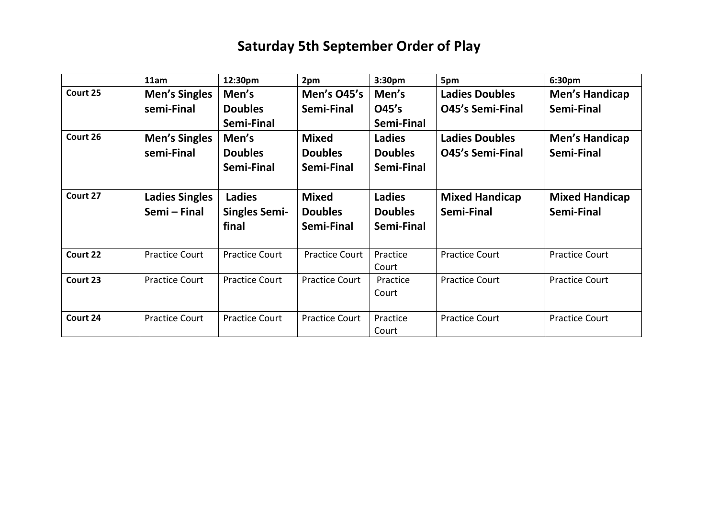## **Saturday 5th September Order of Play**

|          | 11am                  | 12:30pm               | 2pm                   | 3:30pm            | 5pm                     | 6:30pm                |
|----------|-----------------------|-----------------------|-----------------------|-------------------|-------------------------|-----------------------|
| Court 25 | <b>Men's Singles</b>  | Men's                 | <b>Men's O45's</b>    | Men's             | <b>Ladies Doubles</b>   | <b>Men's Handicap</b> |
|          | semi-Final            | <b>Doubles</b>        | Semi-Final            | O45's             | <b>O45's Semi-Final</b> | Semi-Final            |
|          |                       | Semi-Final            |                       | Semi-Final        |                         |                       |
| Court 26 | <b>Men's Singles</b>  | Men's                 | <b>Mixed</b>          | <b>Ladies</b>     | <b>Ladies Doubles</b>   | <b>Men's Handicap</b> |
|          | semi-Final            | <b>Doubles</b>        | <b>Doubles</b>        | <b>Doubles</b>    | <b>O45's Semi-Final</b> | Semi-Final            |
|          |                       | Semi-Final            | Semi-Final            | Semi-Final        |                         |                       |
|          |                       |                       |                       |                   |                         |                       |
| Court 27 | <b>Ladies Singles</b> | <b>Ladies</b>         | <b>Mixed</b>          | <b>Ladies</b>     | <b>Mixed Handicap</b>   | <b>Mixed Handicap</b> |
|          | Semi – Final          | <b>Singles Semi-</b>  | <b>Doubles</b>        | <b>Doubles</b>    | Semi-Final              | Semi-Final            |
|          |                       | final                 | Semi-Final            | Semi-Final        |                         |                       |
|          |                       |                       |                       |                   |                         |                       |
| Court 22 |                       |                       |                       |                   |                         |                       |
|          | <b>Practice Court</b> | <b>Practice Court</b> | <b>Practice Court</b> | Practice          | <b>Practice Court</b>   | <b>Practice Court</b> |
|          |                       |                       |                       | Court             |                         |                       |
| Court 23 | <b>Practice Court</b> | <b>Practice Court</b> | <b>Practice Court</b> | Practice          | <b>Practice Court</b>   | <b>Practice Court</b> |
|          |                       |                       |                       | Court             |                         |                       |
|          |                       |                       |                       |                   |                         |                       |
| Court 24 | <b>Practice Court</b> | <b>Practice Court</b> | <b>Practice Court</b> | Practice<br>Court | <b>Practice Court</b>   | <b>Practice Court</b> |